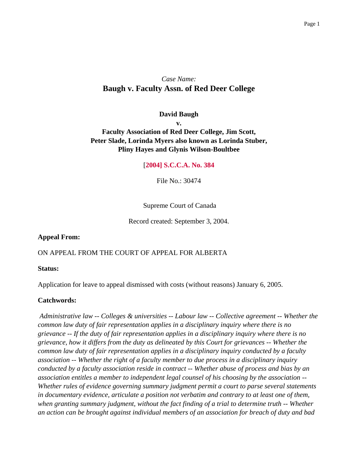# *Case Name:* **Baugh v. Faculty Assn. of Red Deer College**

# **David Baugh**

**v. Faculty Association of Red Deer College, Jim Scott, Peter Slade, Lorinda Myers also known as Lorinda Stuber, Pliny Hayes and Glynis Wilson-Boultbee**

[**2004] S.C.C.A. No. 384**

File No.: 30474

Supreme Court of Canada

Record created: September 3, 2004.

**Appeal From:**

## ON APPEAL FROM THE COURT OF APPEAL FOR ALBERTA

**Status:**

Application for leave to appeal dismissed with costs (without reasons) January 6, 2005.

## **Catchwords:**

*Administrative law -- Colleges & universities -- Labour law -- Collective agreement -- Whether the common law duty of fair representation applies in a disciplinary inquiry where there is no grievance -- If the duty of fair representation applies in a disciplinary inquiry where there is no grievance, how it differs from the duty as delineated by this Court for grievances -- Whether the common law duty of fair representation applies in a disciplinary inquiry conducted by a faculty association -- Whether the right of a faculty member to due process in a disciplinary inquiry conducted by a faculty association reside in contract -- Whether abuse of process and bias by an association entitles a member to independent legal counsel of his choosing by the association -- Whether rules of evidence governing summary judgment permit a court to parse several statements in documentary evidence, articulate a position not verbatim and contrary to at least one of them, when granting summary judgment, without the fact finding of a trial to determine truth -- Whether an action can be brought against individual members of an association for breach of duty and bad*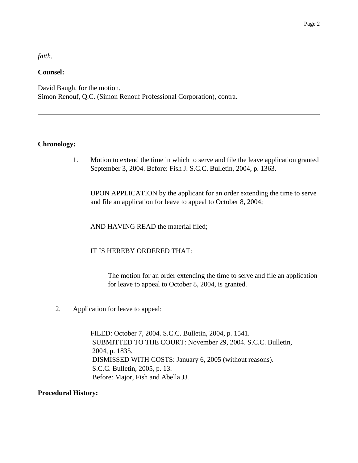*faith.*

#### **Counsel:**

David Baugh, for the motion. Simon Renouf, Q.C. (Simon Renouf Professional Corporation), contra.

#### **Chronology:**

1. Motion to extend the time in which to serve and file the leave application granted September 3, 2004. Before: Fish J. S.C.C. Bulletin, 2004, p. 1363.

UPON APPLICATION by the applicant for an order extending the time to serve and file an application for leave to appeal to October 8, 2004;

AND HAVING READ the material filed;

#### IT IS HEREBY ORDERED THAT:

The motion for an order extending the time to serve and file an application for leave to appeal to October 8, 2004, is granted.

2. Application for leave to appeal:

FILED: October 7, 2004. S.C.C. Bulletin, 2004, p. 1541. SUBMITTED TO THE COURT: November 29, 2004. S.C.C. Bulletin, 2004, p. 1835. DISMISSED WITH COSTS: January 6, 2005 (without reasons). S.C.C. Bulletin, 2005, p. 13. Before: Major, Fish and Abella JJ.

**Procedural History:**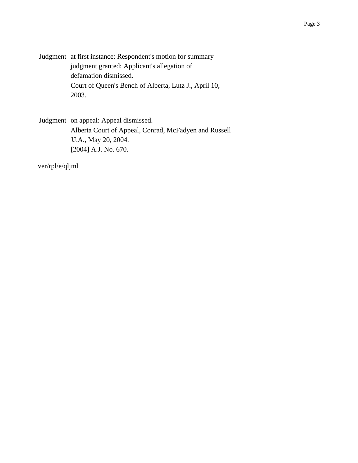Judgment at first instance: Respondent's motion for summary judgment granted; Applicant's allegation of defamation dismissed. Court of Queen's Bench of Alberta, Lutz J., April 10, 2003.

Judgment on appeal: Appeal dismissed. Alberta Court of Appeal, Conrad, McFadyen and Russell JJ.A., May 20, 2004. [2004] A.J. No. 670.

ver/rpl/e/qljml